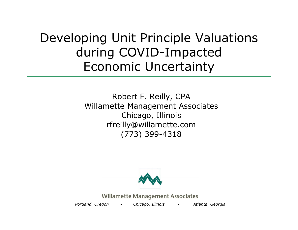# Developing Unit Principle Valuations during COVID-Impacted Economic Uncertainty

Robert F. Reilly, CPA Willamette Management Associates Chicago, Illinois rfreilly@willamette.com (773) 399-4318



**Willamette Management Associates** 

*Portland, Oregon Chicago, Illinois Atlanta, Georgia*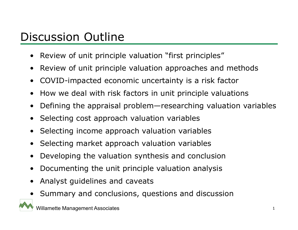#### Discussion Outline

- •Review of unit principle valuation "first principles"
- $\bullet$ Review of unit principle valuation approaches and methods
- •COVID-impacted economic uncertainty is a risk factor
- •How we deal with risk factors in unit principle valuations
- $\bullet$ Defining the appraisal problem—researching valuation variables
- $\bullet$ Selecting cost approach valuation variables
- $\bullet$ Selecting income approach valuation variables
- •Selecting market approach valuation variables
- •Developing the valuation synthesis and conclusion
- •Documenting the unit principle valuation analysis
- •Analyst guidelines and caveats
- •Summary and conclusions, questions and discussion

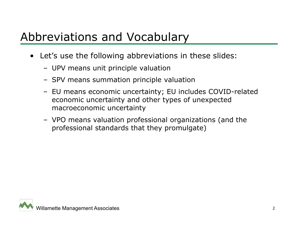## Abbreviations and Vocabulary

- Let's use the following abbreviations in these slides:
	- UPV means unit principle valuation
	- SPV means summation principle valuation
	- EU means economic uncertainty; EU includes COVID-related economic uncertainty and other types of unexpected macroeconomic uncertainty
	- VPO means valuation professional organizations (and the professional standards that they promulgate)

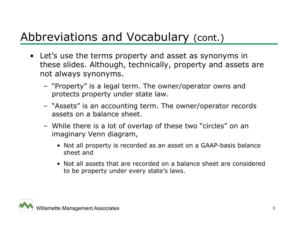## Abbreviations and Vocabulary (cont.)

- Let's use the terms property and asset as synonyms in these slides. Although, technically, property and assets are not always synonyms.
	- "Property" is a legal term. The owner/operator owns and protects property under state law.
	- "Assets" is an accounting term. The owner/operator records assets on a balance sheet.
	- While there is a lot of overlap of these two "circles" on an imaginary Venn diagram,
		- Not all property is recorded as an asset on a GAAP-basis balance sheet and
		- Not all assets that are recorded on a balance sheet are considered to be property under every state's laws.

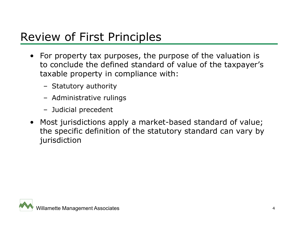#### Review of First Principles

- For property tax purposes, the purpose of the valuation is to conclude the defined standard of value of the taxpayer's taxable property in compliance with:
	- Statutory authority
	- Administrative rulings
	- Judicial precedent
- Most jurisdictions apply a market-based standard of value; the specific definition of the statutory standard can vary by jurisdiction

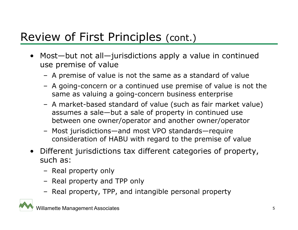#### Review of First Principles (cont.)

- Most—but not all—jurisdictions apply a value in continued use premise of value
	- A premise of value is not the same as a standard of value
	- A going-concern or a continued use premise of value is not the same as valuing a going-concern business enterprise
	- A market-based standard of value (such as fair market value) assumes a sale—but a sale of property in continued use between one owner/operator and another owner/operator
	- Most jurisdictions—and most VPO standards—require consideration of HABU with regard to the premise of value
- Different jurisdictions tax different categories of property, such as:
	- Real property only
	- Real property and TPP only
	- Real property, TPP, and intangible personal property

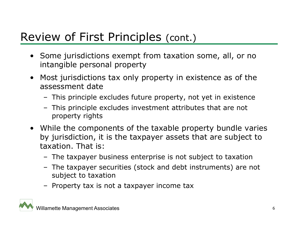#### Review of First Principles (cont.)

- Some jurisdictions exempt from taxation some, all, or no intangible personal property
- • Most jurisdictions tax only property in existence as of the assessment date
	- This principle excludes future property, not yet in existence
	- This principle excludes investment attributes that are not property rights
- While the components of the taxable property bundle varies by jurisdiction, it is the taxpayer assets that are subject to taxation. That is:
	- The taxpayer business enterprise is not subject to taxation
	- The taxpayer securities (stock and debt instruments) are not subject to taxation
	- Property tax is not a taxpayer income tax

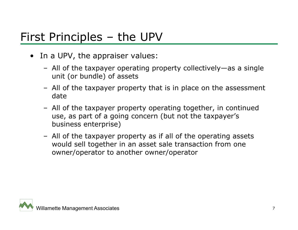#### First Principles – the UPV

- In a UPV, the appraiser values:
	- All of the taxpayer operating property collectively—as a single unit (or bundle) of assets
	- All of the taxpayer property that is in place on the assessment date
	- All of the taxpayer property operating together, in continued use, as part of a going concern (but not the taxpayer's business enterprise)
	- All of the taxpayer property as if all of the operating assets would sell together in an asset sale transaction from one owner/operator to another owner/operator

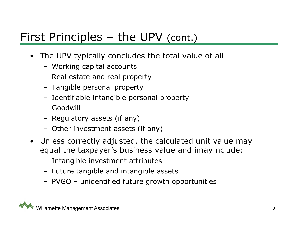#### First Principles – the UPV (cont.)

- The UPV typically concludes the total value of all
	- Working capital accounts
	- Real estate and real property
	- Tangible personal property
	- Identifiable intangible personal property
	- Goodwill
	- Regulatory assets (if any)
	- Other investment assets (if any)
- Unless correctly adjusted, the calculated unit value may equal the taxpayer's business value and imay nclude:
	- Intangible investment attributes
	- Future tangible and intangible assets
	- PVGO unidentified future growth opportunities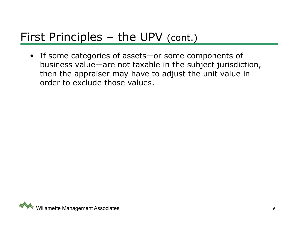#### First Principles – the UPV (cont.)

• If some categories of assets—or some components of business value—are not taxable in the subject jurisdiction, then the appraiser may have to adjust the unit value in order to exclude those values.

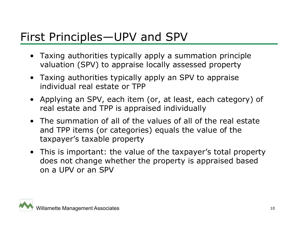#### First Principles—UPV and SPV

- Taxing authorities typically apply a summation principle valuation (SPV) to appraise locally assessed property
- Taxing authorities typically apply an SPV to appraise individual real estate or TPP
- Applying an SPV, each item (or, at least, each category) of real estate and TPP is appraised individually
- The summation of all of the values of all of the real estate and TPP items (or categories) equals the value of the taxpayer's taxable property
- This is important: the value of the taxpayer's total property does not change whether the property is appraised based on a UPV or an SPV

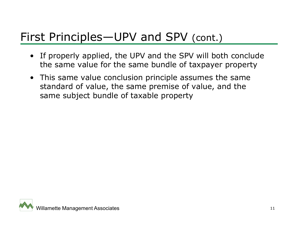#### First Principles—UPV and SPV (cont.)

- If properly applied, the UPV and the SPV will both conclude the same value for the same bundle of taxpayer property
- This same value conclusion principle assumes the same standard of value, the same premise of value, and the same subject bundle of taxable property

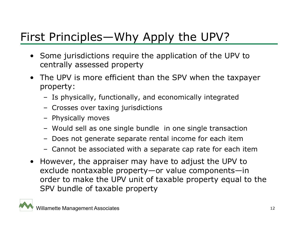# First Principles—Why Apply the UPV?

- Some jurisdictions require the application of the UPV to centrally assessed property
- The UPV is more efficient than the SPV when the taxpayer property:
	- Is physically, functionally, and economically integrated
	- Crosses over taxing jurisdictions
	- Physically moves
	- Would sell as one single bundle in one single transaction
	- Does not generate separate rental income for each item
	- Cannot be associated with a separate cap rate for each item
- $\bullet$  However, the appraiser may have to adjust the UPV to exclude nontaxable property—or value components—in order to make the UPV unit of taxable property equal to the SPV bundle of taxable property

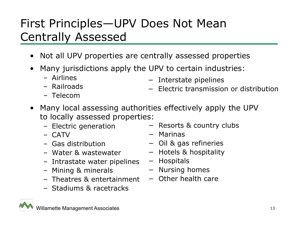## First Principles—UPV Does Not Mean Centrally Assessed

- •Not all UPV properties are centrally assessed properties
- • Many jurisdictions apply the UPV to certain industries:
	- Airlines

− Interstate pipelines

– Railroads

– Telecom

- − Electric transmission or distribution
- Many local assessing authorities effectively apply the UPV to locally assessed properties:
	- Electric generation
	- CATV
	- Gas distribution
	- Water & wastewater
	- Intrastate water pipelines − Hospitals
	- Mining & minerals
	- Theatres & entertainment
	- Stadiums & racetracks
- − Resorts & country clubs
- − Marinas
- − Oil & gas refineries
- − Hotels & hospitality
- 
- − Nursing homes
- − Other health care

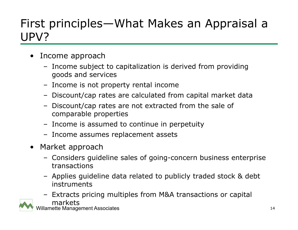## First principles—What Makes an Appraisal a UPV?

- • Income approach
	- Income subject to capitalization is derived from providing goods and services
	- Income is not property rental income
	- Discount/cap rates are calculated from capital market data
	- Discount/cap rates are not extracted from the sale of comparable properties
	- Income is assumed to continue in perpetuity
	- Income assumes replacement assets
- $\bullet$  Market approach
	- Considers guideline sales of going-concern business enterprise transactions
	- Applies guideline data related to publicly traded stock & debt instruments
	- willamette Management Associates **14** and 20 and 20 and 20 and 20 and 20 and 20 and 20 and 20 and 20 and 20 and 20 and 20 and 20 and 20 and 20 and 20 and 20 and 20 and 20 and 20 and 20 and 20 and 20 and 20 and 20 and 20 an – Extracts pricing multiples from M&A transactions or capital markets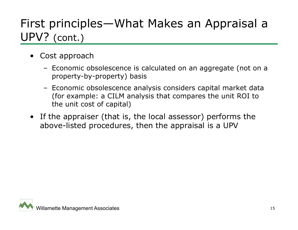# First principles—What Makes an Appraisal a UPV? (cont.)

- • Cost approach
	- Economic obsolescence is calculated on an aggregate (not on a property-by-property) basis
	- Economic obsolescence analysis considers capital market data (for example: a CILM analysis that compares the unit ROI to the unit cost of capital)
- If the appraiser (that is, the local assessor) performs the above-listed procedures, then the appraisal is a UPV

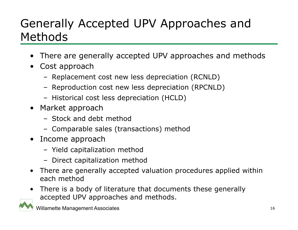# Generally Accepted UPV Approaches and Methods

- •There are generally accepted UPV approaches and methods
- Cost approach
	- Replacement cost new less depreciation (RCNLD)
	- Reproduction cost new less depreciation (RPCNLD)
	- Historical cost less depreciation (HCLD)
- Market approach
	- Stock and debt method
	- Comparable sales (transactions) method
- Income approach
	- Yield capitalization method
	- Direct capitalization method
- $\bullet$  There are generally accepted valuation procedures applied within each method
- There is a body of literature that documents these generally accepted UPV approaches and methods.

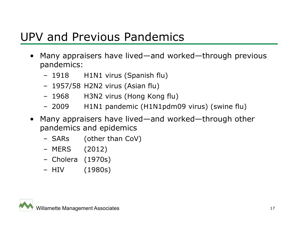#### UPV and Previous Pandemics

- • Many appraisers have lived—and worked—through previous pandemics:
	- –H1N1 virus (Spanish flu)
	- 1957/58 H2N2 virus (Asian flu)
	- 1968 H3N2 virus (Hong Kong flu)
	- 2009 H1N1 pandemic (H1N1pdm09 virus) (swine flu)
- • Many appraisers have lived—and worked—through other pandemics and epidemics
	- SARs (other than CoV)
	- MERS (2012)
	- Cholera (1970s)
	- HIV  $(1980s)$

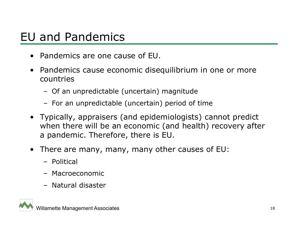#### EU and Pandemics

- Pandemics are one cause of EU.
- $\bullet$  Pandemics cause economic disequilibrium in one or more countries
	- Of an unpredictable (uncertain) magnitude
	- For an unpredictable (uncertain) period of time
- Typically, appraisers (and epidemiologists) cannot predict when there will be an economic (and health) recovery after a pandemic. Therefore, there is EU.
- There are many, many, many other causes of EU:
	- Political
	- Macroeconomic
	- Natural disaster

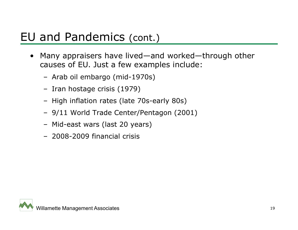#### EU and Pandemics (cont.)

- • Many appraisers have lived—and worked—through other causes of EU. Just a few examples include:
	- Arab oil embargo (mid-1970s)
	- Iran hostage crisis (1979)
	- High inflation rates (late 70s-early 80s)
	- 9/11 World Trade Center/Pentagon (2001)
	- Mid-east wars (last 20 years)
	- 2008-2009 financial crisis

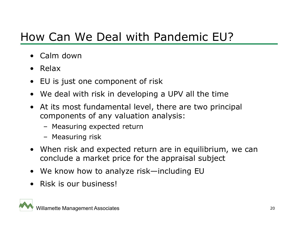## How Can We Deal with Pandemic EU?

- •Calm down
- Relax
- $\bullet$ EU is just one component of risk
- We deal with risk in developing a UPV all the time
- • At its most fundamental level, there are two principal components of any valuation analysis:
	- Measuring expected return
	- Measuring risk
- When risk and expected return are in equilibrium, we can conclude a market price for the appraisal subject
- We know how to analyze risk—including EU
- •Risk is our business!

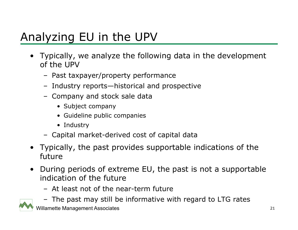# Analyzing EU in the UPV

- Typically, we analyze the following data in the development of the UPV
	- Past taxpayer/property performance
	- Industry reports—historical and prospective
	- Company and stock sale data
		- Subject company
		- Guideline public companies
		- Industry
	- Capital market-derived cost of capital data
- Typically, the past provides supportable indications of the future
- • During periods of extreme EU, the past is not a supportable indication of the future
	- At least not of the near-term future
	- The past may still be informative with regard to LTG rates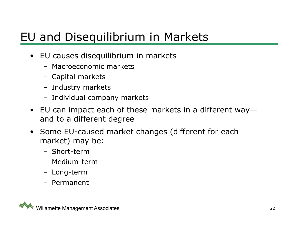# EU and Disequilibrium in Markets

- EU causes disequilibrium in markets
	- Macroeconomic markets
	- Capital markets
	- Industry markets
	- Individual company markets
- EU can impact each of these markets in a different way and to a different degree
- Some EU-caused market changes (different for each market) may be:
	- Short-term
	- Medium-term
	- Long-term
	- Permanent

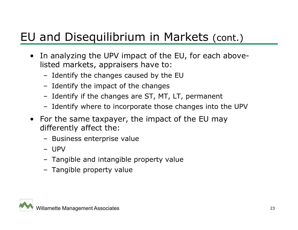## EU and Disequilibrium in Markets (cont.)

- • In analyzing the UPV impact of the EU, for each abovelisted markets, appraisers have to:
	- Identify the changes caused by the EU
	- Identify the impact of the changes
	- Identify if the changes are ST, MT, LT, permanent
	- Identify where to incorporate those changes into the UPV
- $\bullet$  For the same taxpayer, the impact of the EU may differently affect the:
	- Business enterprise value
	- UPV
	- Tangible and intangible property value
	- Tangible property value

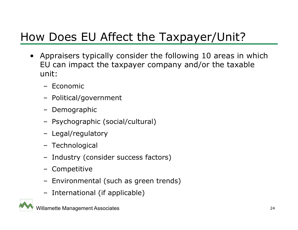# How Does EU Affect the Taxpayer/Unit?

- Appraisers typically consider the following 10 areas in which EU can impact the taxpayer company and/or the taxable unit:
	- Economic
	- Political/government
	- Demographic
	- Psychographic (social/cultural)
	- Legal/regulatory
	- Technological
	- Industry (consider success factors)
	- Competitive
	- Environmental (such as green trends)
	- International (if applicable)

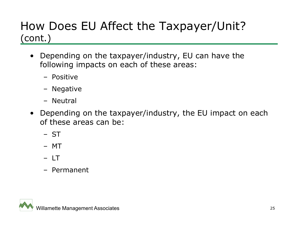#### How Does EU Affect the Taxpayer/Unit? (cont.)

- Depending on the taxpayer/industry, EU can have the following impacts on each of these areas:
	- Positive
	- Negative
	- Neutral
- $\bullet$  Depending on the taxpayer/industry, the EU impact on each of these areas can be:
	- ST
	- MT
	- LT
	- Permanent

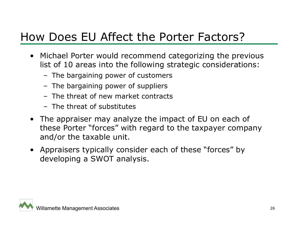#### How Does EU Affect the Porter Factors?

- Michael Porter would recommend categorizing the previous list of 10 areas into the following strategic considerations:
	- The bargaining power of customers
	- The bargaining power of suppliers
	- The threat of new market contracts
	- The threat of substitutes
- The appraiser may analyze the impact of EU on each of these Porter "forces" with regard to the taxpayer company and/or the taxable unit.
- Appraisers typically consider each of these "forces" by developing a SWOT analysis.

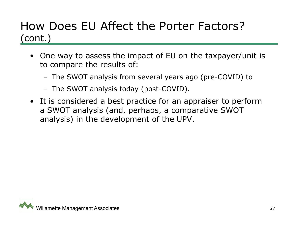#### How Does EU Affect the Porter Factors? (cont.)

- One way to assess the impact of EU on the taxpayer/unit is to compare the results of:
	- The SWOT analysis from several years ago (pre-COVID) to
	- The SWOT analysis today (post-COVID).
- It is considered a best practice for an appraiser to perform a SWOT analysis (and, perhaps, a comparative SWOT analysis) in the development of the UPV.

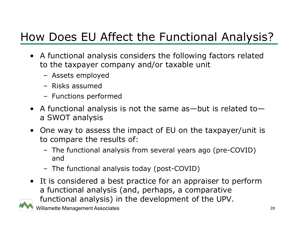# How Does EU Affect the Functional Analysis?

- A functional analysis considers the following factors related to the taxpayer company and/or taxable unit
	- Assets employed
	- Risks assumed
	- Functions performed
- A functional analysis is not the same as—but is related to a SWOT analysis
- One way to assess the impact of EU on the taxpayer/unit is to compare the results of:
	- The functional analysis from several years ago (pre-COVID) and
	- The functional analysis today (post-COVID)
- It is considered a best practice for an appraiser to perform a functional analysis (and, perhaps, a comparative functional analysis) in the development of the UPV.

Willamette Management Associates 28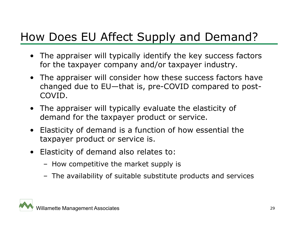## How Does EU Affect Supply and Demand?

- The appraiser will typically identify the key success factors for the taxpayer company and/or taxpayer industry.
- The appraiser will consider how these success factors have changed due to EU—that is, pre-COVID compared to post-COVID.
- The appraiser will typically evaluate the elasticity of demand for the taxpayer product or service.
- Elasticity of demand is a function of how essential the taxpayer product or service is.
- Elasticity of demand also relates to:
	- How competitive the market supply is
	- The availability of suitable substitute products and services

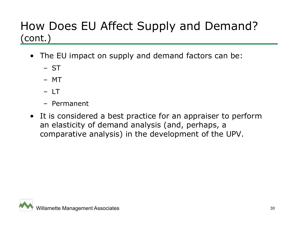#### How Does EU Affect Supply and Demand? (cont.)

- The EU impact on supply and demand factors can be:
	- ST
	- MT
	- LT
	- Permanent
- It is considered a best practice for an appraiser to perform an elasticity of demand analysis (and, perhaps, a comparative analysis) in the development of the UPV.

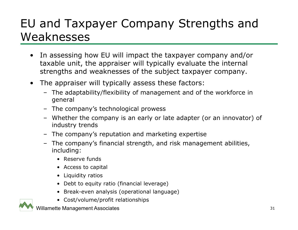## EU and Taxpayer Company Strengths and Weaknesses

- • In assessing how EU will impact the taxpayer company and/or taxable unit, the appraiser will typically evaluate the internal strengths and weaknesses of the subject taxpayer company.
- $\bullet$  The appraiser will typically assess these factors:
	- The adaptability/flexibility of management and of the workforce in general
	- The company's technological prowess
	- Whether the company is an early or late adapter (or an innovator) of industry trends
	- The company's reputation and marketing expertise
	- The company's financial strength, and risk management abilities, including:
		- Reserve funds
		- Access to capital
		- Liquidity ratios
		- Debt to equity ratio (financial leverage)
		- Break-even analysis (operational language)
		- Cost/volume/profit relationships

willamette Management Associates 31

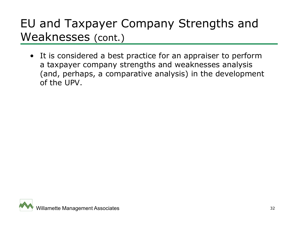## EU and Taxpayer Company Strengths and Weaknesses (cont.)

• It is considered a best practice for an appraiser to perform a taxpayer company strengths and weaknesses analysis (and, perhaps, a comparative analysis) in the development of the UPV.

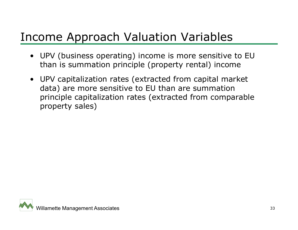#### Income Approach Valuation Variables

- UPV (business operating) income is more sensitive to EU than is summation principle (property rental) income
- UPV capitalization rates (extracted from capital market data) are more sensitive to EU than are summation principle capitalization rates (extracted from comparable property sales)

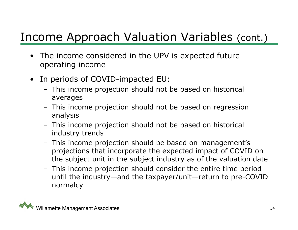# Income Approach Valuation Variables (cont.)

- • The income considered in the UPV is expected future operating income
- $\bullet$  In periods of COVID-impacted EU:
	- This income projection should not be based on historical averages
	- This income projection should not be based on regression analysis
	- This income projection should not be based on historical industry trends
	- This income projection should be based on management's projections that incorporate the expected impact of COVID on the subject unit in the subject industry as of the valuation date
	- This income projection should consider the entire time period until the industry—and the taxpayer/unit—return to pre-COVID normalcy

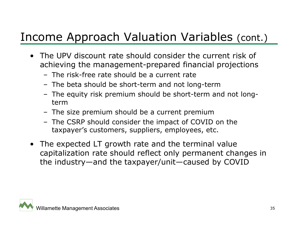### Income Approach Valuation Variables (cont.)

- The UPV discount rate should consider the current risk of achieving the management-prepared financial projections
	- The risk-free rate should be a current rate
	- The beta should be short-term and not long-term
	- The equity risk premium should be short-term and not longterm
	- The size premium should be a current premium
	- The CSRP should consider the impact of COVID on the taxpayer's customers, suppliers, employees, etc.
- The expected LT growth rate and the terminal value capitalization rate should reflect only permanent changes in the industry—and the taxpayer/unit—caused by COVID

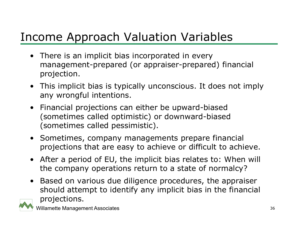## Income Approach Valuation Variables

- There is an implicit bias incorporated in every management-prepared (or appraiser-prepared) financial projection.
- This implicit bias is typically unconscious. It does not imply any wrongful intentions.
- $\bullet$  Financial projections can either be upward-biased (sometimes called optimistic) or downward-biased (sometimes called pessimistic).
- Sometimes, company managements prepare financial projections that are easy to achieve or difficult to achieve.
- After a period of EU, the implicit bias relates to: When will the company operations return to a state of normalcy?
- $\bullet$  Based on various due diligence procedures, the appraiser should attempt to identify any implicit bias in the financial projections.

Willamette Management Associates 36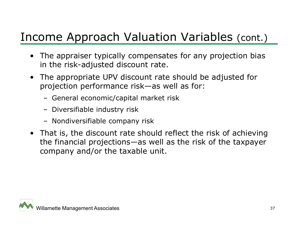# Income Approach Valuation Variables (cont.)

- The appraiser typically compensates for any projection bias in the risk-adjusted discount rate.
- The appropriate UPV discount rate should be adjusted for projection performance risk—as well as for:
	- General economic/capital market risk
	- Diversifiable industry risk
	- Nondiversifiable company risk
- That is, the discount rate should reflect the risk of achieving the financial projections—as well as the risk of the taxpayer company and/or the taxable unit.

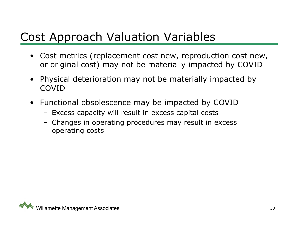## Cost Approach Valuation Variables

- Cost metrics (replacement cost new, reproduction cost new, or original cost) may not be materially impacted by COVID
- $\bullet$  Physical deterioration may not be materially impacted by COVID
- Functional obsolescence may be impacted by COVID
	- Excess capacity will result in excess capital costs
	- Changes in operating procedures may result in excess operating costs

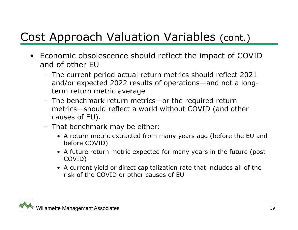# Cost Approach Valuation Variables (cont.)

- Economic obsolescence should reflect the impact of COVID and of other EU
	- The current period actual return metrics should reflect 2021 and/or expected 2022 results of operations—and not a longterm return metric average
	- The benchmark return metrics—or the required return metrics—should reflect a world without COVID (and other causes of EU).
	- That benchmark may be either:
		- A return metric extracted from many years ago (before the EU and before COVID)
		- A future return metric expected for many years in the future (post-COVID)
		- A current yield or direct capitalization rate that includes all of the risk of the COVID or other causes of EU

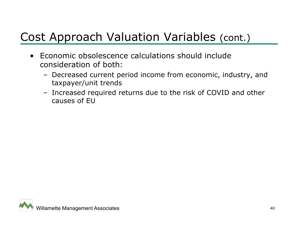# Cost Approach Valuation Variables (cont.)

- Economic obsolescence calculations should include consideration of both:
	- Decreased current period income from economic, industry, and taxpayer/unit trends
	- Increased required returns due to the risk of COVID and other causes of EU

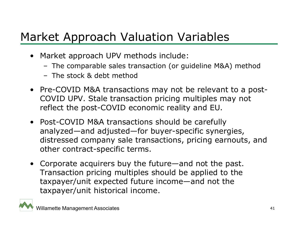# Market Approach Valuation Variables

- Market approach UPV methods include:
	- The comparable sales transaction (or guideline M&A) method
	- The stock & debt method
- Pre-COVID M&A transactions may not be relevant to a post-COVID UPV. Stale transaction pricing multiples may not reflect the post-COVID economic reality and EU.
- Post-COVID M&A transactions should be carefully analyzed—and adjusted—for buyer-specific synergies, distressed company sale transactions, pricing earnouts, and other contract-specific terms.
- Corporate acquirers buy the future—and not the past. Transaction pricing multiples should be applied to the taxpayer/unit expected future income—and not the taxpayer/unit historical income.

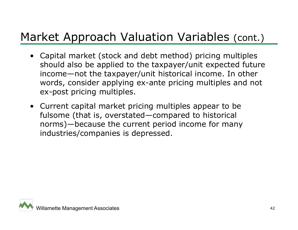# Market Approach Valuation Variables (cont.)

- Capital market (stock and debt method) pricing multiples should also be applied to the taxpayer/unit expected future income—not the taxpayer/unit historical income. In other words, consider applying ex-ante pricing multiples and not ex-post pricing multiples.
- Current capital market pricing multiples appear to be fulsome (that is, overstated—compared to historical norms)—because the current period income for many industries/companies is depressed.

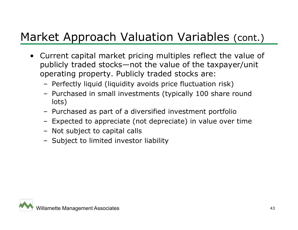# Market Approach Valuation Variables (cont.)

- $\bullet$  Current capital market pricing multiples reflect the value of publicly traded stocks—not the value of the taxpayer/unit operating property. Publicly traded stocks are:
	- Perfectly liquid (liquidity avoids price fluctuation risk)
	- Purchased in small investments (typically 100 share round lots)
	- Purchased as part of a diversified investment portfolio
	- Expected to appreciate (not depreciate) in value over time
	- Not subject to capital calls
	- Subject to limited investor liability

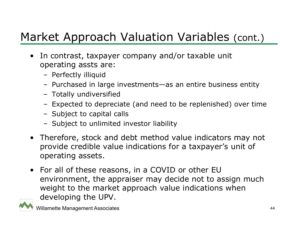# Market Approach Valuation Variables (cont.)

- • In contrast, taxpayer company and/or taxable unit operating assts are:
	- Perfectly illiquid
	- Purchased in large investments—as an entire business entity
	- Totally undiversified
	- Expected to depreciate (and need to be replenished) over time
	- Subject to capital calls
	- Subject to unlimited investor liability
- Therefore, stock and debt method value indicators may not provide credible value indications for a taxpayer's unit of operating assets.
- For all of these reasons, in a COVID or other EU environment, the appraiser may decide not to assign much weight to the market approach value indications when developing the UPV.

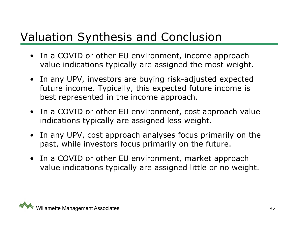### Valuation Synthesis and Conclusion

- In a COVID or other EU environment, income approach value indications typically are assigned the most weight.
- In any UPV, investors are buying risk-adjusted expected future income. Typically, this expected future income is best represented in the income approach.
- In a COVID or other EU environment, cost approach value indications typically are assigned less weight.
- In any UPV, cost approach analyses focus primarily on the past, while investors focus primarily on the future.
- In a COVID or other EU environment, market approach value indications typically are assigned little or no weight.

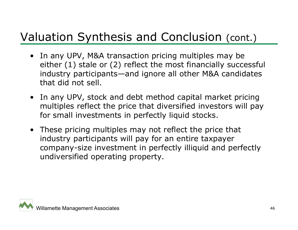## Valuation Synthesis and Conclusion (cont.)

- In any UPV, M&A transaction pricing multiples may be either (1) stale or (2) reflect the most financially successful industry participants—and ignore all other M&A candidates that did not sell.
- In any UPV, stock and debt method capital market pricing multiples reflect the price that diversified investors will pay for small investments in perfectly liquid stocks.
- These pricing multiples may not reflect the price that industry participants will pay for an entire taxpayer company-size investment in perfectly illiquid and perfectly undiversified operating property.

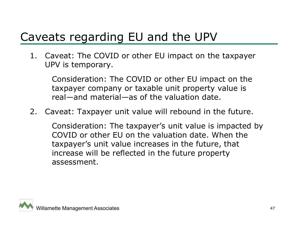# Caveats regarding EU and the UPV

1. Caveat: The COVID or other EU impact on the taxpayer UPV is temporary.

Consideration: The COVID or other EU impact on the taxpayer company or taxable unit property value is real—and material—as of the valuation date.

2. Caveat: Taxpayer unit value will rebound in the future.

Consideration: The taxpayer's unit value is impacted by COVID or other EU on the valuation date. When the taxpayer's unit value increases in the future, that increase will be reflected in the future property assessment.

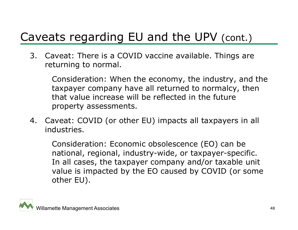3. Caveat: There is a COVID vaccine available. Things are returning to normal.

Consideration: When the economy, the industry, and the taxpayer company have all returned to normalcy, then that value increase will be reflected in the future property assessments.

4. Caveat: COVID (or other EU) impacts all taxpayers in all industries.

Consideration: Economic obsolescence (EO) can be national, regional, industry-wide, or taxpayer-specific. In all cases, the taxpayer company and/or taxable unit value is impacted by the EO caused by COVID (or some other EU).

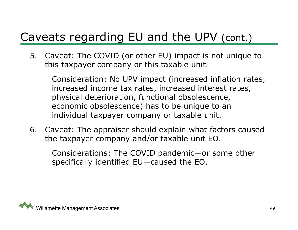5. Caveat: The COVID (or other EU) impact is not unique to this taxpayer company or this taxable unit.

Consideration: No UPV impact (increased inflation rates, increased income tax rates, increased interest rates, physical deterioration, functional obsolescence, economic obsolescence) has to be unique to an individual taxpayer company or taxable unit.

6. Caveat: The appraiser should explain what factors caused the taxpayer company and/or taxable unit EO.

Considerations: The COVID pandemic—or some other specifically identified EU—caused the EO.

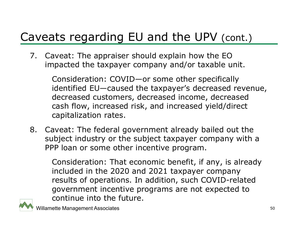7. Caveat: The appraiser should explain how the EO impacted the taxpayer company and/or taxable unit.

> Consideration: COVID—or some other specifically identified EU—caused the taxpayer's decreased revenue, decreased customers, decreased income, decreased cash flow, increased risk, and increased yield/direct capitalization rates.

8. Caveat: The federal government already bailed out the subject industry or the subject taxpayer company with a PPP loan or some other incentive program.

Consideration: That economic benefit, if any, is already included in the 2020 and 2021 taxpayer company results of operations. In addition, such COVID-related government incentive programs are not expected to continue into the future.

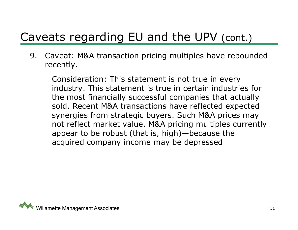9. Caveat: M&A transaction pricing multiples have rebounded recently.

Consideration: This statement is not true in every industry. This statement is true in certain industries for the most financially successful companies that actually sold. Recent M&A transactions have reflected expected synergies from strategic buyers. Such M&A prices may not reflect market value. M&A pricing multiples currently appear to be robust (that is, high)—because the acquired company income may be depressed

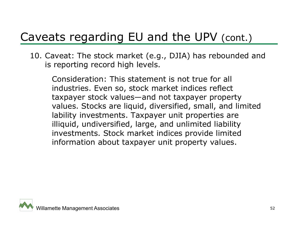10. Caveat: The stock market (e.g., DJIA) has rebounded and is reporting record high levels.

Consideration: This statement is not true for all industries. Even so, stock market indices reflect taxpayer stock values—and not taxpayer property values. Stocks are liquid, diversified, small, and limited lability investments. Taxpayer unit properties are illiquid, undiversified, large, and unlimited liability investments. Stock market indices provide limited information about taxpayer unit property values.

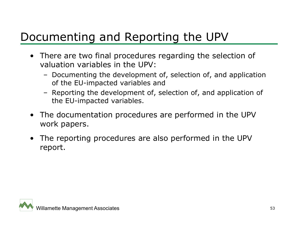# Documenting and Reporting the UPV

- There are two final procedures regarding the selection of valuation variables in the UPV:
	- Documenting the development of, selection of, and application of the EU-impacted variables and
	- Reporting the development of, selection of, and application of the EU-impacted variables.
- The documentation procedures are performed in the UPV work papers.
- The reporting procedures are also performed in the UPV report.

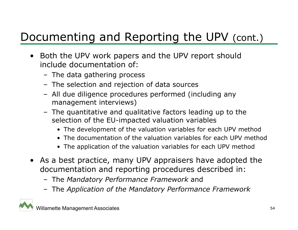# Documenting and Reporting the UPV (cont.)

- Both the UPV work papers and the UPV report should include documentation of:
	- The data gathering process
	- The selection and rejection of data sources
	- All due diligence procedures performed (including any management interviews)
	- The quantitative and qualitative factors leading up to the selection of the EU-impacted valuation variables
		- The development of the valuation variables for each UPV method
		- The documentation of the valuation variables for each UPV method
		- The application of the valuation variables for each UPV method
- As a best practice, many UPV appraisers have adopted the documentation and reporting procedures described in:
	- The *Mandatory Performance Framework* and
	- The *Application of the Mandatory Performance Framework*

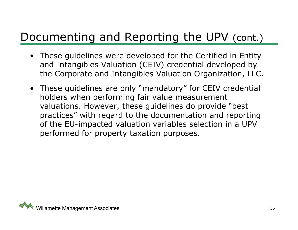# Documenting and Reporting the UPV (cont.)

- These guidelines were developed for the Certified in Entity and Intangibles Valuation (CEIV) credential developed by the Corporate and Intangibles Valuation Organization, LLC.
- These guidelines are only "mandatory" for CEIV credential holders when performing fair value measurement valuations. However, these guidelines do provide "best practices" with regard to the documentation and reporting of the EU-impacted valuation variables selection in a UPV performed for property taxation purposes.

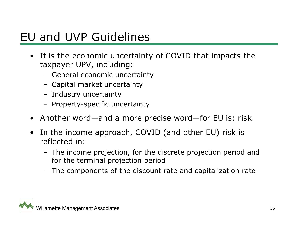#### EU and UVP Guidelines

- It is the economic uncertainty of COVID that impacts the taxpayer UPV, including:
	- General economic uncertainty
	- Capital market uncertainty
	- Industry uncertainty
	- Property-specific uncertainty
- Another word—and a more precise word—for EU is: risk
- • In the income approach, COVID (and other EU) risk is reflected in:
	- The income projection, for the discrete projection period and for the terminal projection period
	- The components of the discount rate and capitalization rate

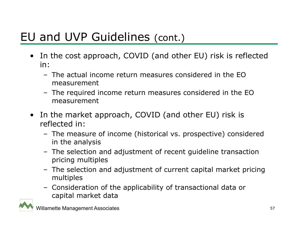#### EU and UVP Guidelines (cont.)

- In the cost approach, COVID (and other EU) risk is reflected in:
	- The actual income return measures considered in the EO measurement
	- The required income return measures considered in the EO measurement
- $\bullet$  In the market approach, COVID (and other EU) risk is reflected in:
	- The measure of income (historical vs. prospective) considered in the analysis
	- The selection and adjustment of recent guideline transaction pricing multiples
	- The selection and adjustment of current capital market pricing multiples
	- Consideration of the applicability of transactional data or capital market data

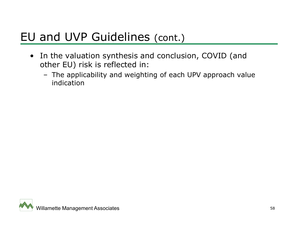#### EU and UVP Guidelines (cont.)

- In the valuation synthesis and conclusion, COVID (and other EU) risk is reflected in:
	- The applicability and weighting of each UPV approach value indication